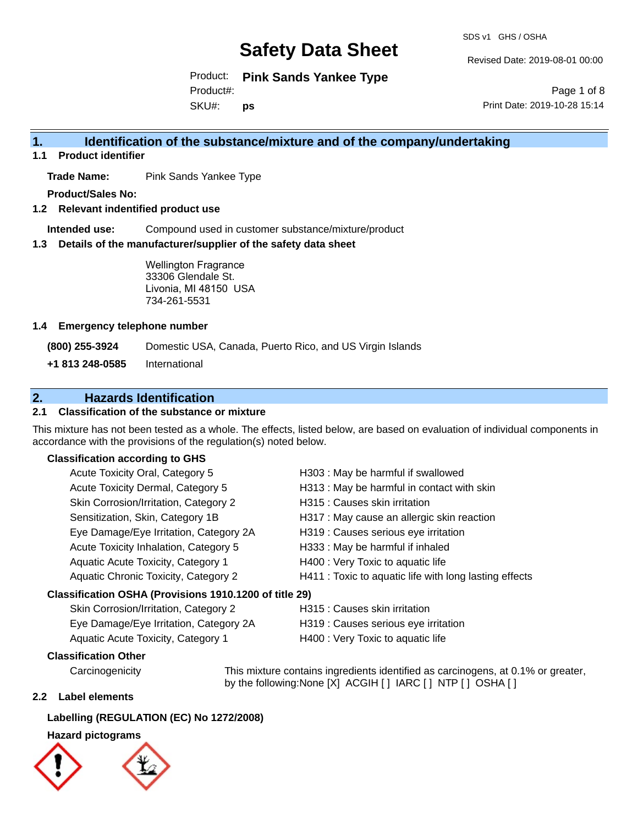SDS v1 GHS / OSHA

Revised Date: 2019-08-01 00:00

Product: **Pink Sands Yankee Type** SKU#: Product#: **ps**

Page 1 of 8 Print Date: 2019-10-28 15:14

### **1. Identification of the substance/mixture and of the company/undertaking**

**1.1 Product identifier**

**Trade Name:** Pink Sands Yankee Type

**Product/Sales No:**

**1.2 Relevant indentified product use**

**Intended use:** Compound used in customer substance/mixture/product

**1.3 Details of the manufacturer/supplier of the safety data sheet**

Wellington Fragrance 33306 Glendale St. Livonia, MI 48150 USA 734-261-5531

#### **1.4 Emergency telephone number**

**(800) 255-3924** Domestic USA, Canada, Puerto Rico, and US Virgin Islands

**+1 813 248-0585** International

### **2. Hazards Identification**

#### **2.1 Classification of the substance or mixture**

This mixture has not been tested as a whole. The effects, listed below, are based on evaluation of individual components in accordance with the provisions of the regulation(s) noted below.

#### **Classification according to GHS**

| Acute Toxicity Oral, Category 5                        | H303 : May be harmful if swallowed                     |
|--------------------------------------------------------|--------------------------------------------------------|
| Acute Toxicity Dermal, Category 5                      | H313 : May be harmful in contact with skin             |
| Skin Corrosion/Irritation, Category 2                  | H315 : Causes skin irritation                          |
| Sensitization, Skin, Category 1B                       | H317 : May cause an allergic skin reaction             |
| Eye Damage/Eye Irritation, Category 2A                 | H319 : Causes serious eye irritation                   |
| Acute Toxicity Inhalation, Category 5                  | H333: May be harmful if inhaled                        |
| Aquatic Acute Toxicity, Category 1                     | H400 : Very Toxic to aquatic life                      |
| Aquatic Chronic Toxicity, Category 2                   | H411 : Toxic to aquatic life with long lasting effects |
| Classification OSHA (Provisions 1910.1200 of title 29) |                                                        |
| Skin Corrosion/Irritation Catogony 2                   | $\Box$ 215 · Coucos skin irritation                    |

| <b>SNIT COLLOSIOLI/ILLIGHOLI, Category 2</b> | TISTS . Causes SNITTHIMMUIT          |
|----------------------------------------------|--------------------------------------|
| Eye Damage/Eye Irritation, Category 2A       | H319 : Causes serious eye irritation |
| Aquatic Acute Toxicity, Category 1           | H400 : Very Toxic to aquatic life    |

#### **Classification Other**

Carcinogenicity This mixture contains ingredients identified as carcinogens, at 0.1% or greater, by the following:None [X] ACGIH [] IARC [] NTP [] OSHA []

#### **2.2 Label elements**

#### **Labelling (REGULATION (EC) No 1272/2008)**

#### **Hazard pictograms**



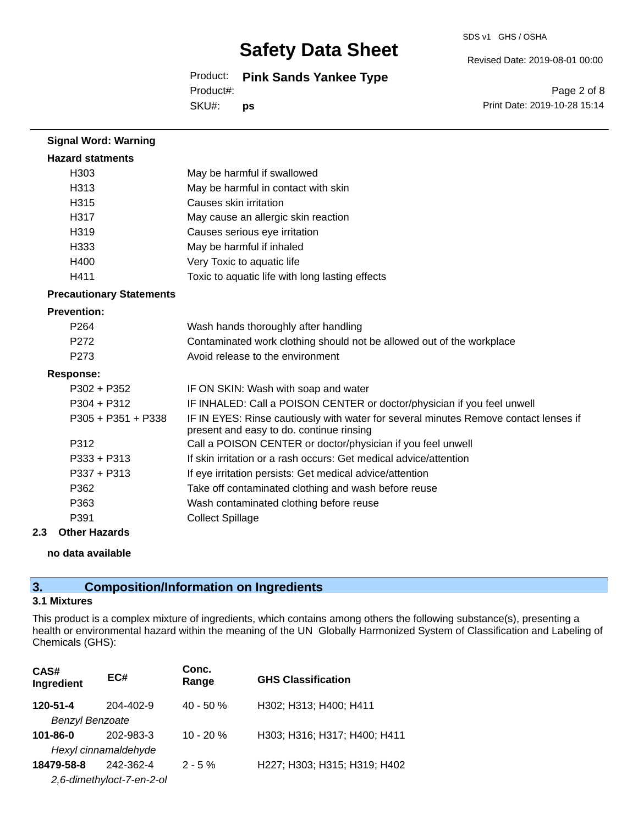SDS v1 GHS / OSHA

Revised Date: 2019-08-01 00:00

Product: **Pink Sands Yankee Type** SKU#: Product#: **ps**

Page 2 of 8 Print Date: 2019-10-28 15:14

| <b>Signal Word: Warning</b>     |                                                                                                                                  |
|---------------------------------|----------------------------------------------------------------------------------------------------------------------------------|
| <b>Hazard statments</b>         |                                                                                                                                  |
| H303                            | May be harmful if swallowed                                                                                                      |
| H313                            | May be harmful in contact with skin                                                                                              |
| H <sub>315</sub>                | Causes skin irritation                                                                                                           |
| H317                            | May cause an allergic skin reaction                                                                                              |
| H319                            | Causes serious eye irritation                                                                                                    |
| H333                            | May be harmful if inhaled                                                                                                        |
| H400                            | Very Toxic to aquatic life                                                                                                       |
| H411                            | Toxic to aquatic life with long lasting effects                                                                                  |
| <b>Precautionary Statements</b> |                                                                                                                                  |
| <b>Prevention:</b>              |                                                                                                                                  |
| P <sub>264</sub>                | Wash hands thoroughly after handling                                                                                             |
| P272                            | Contaminated work clothing should not be allowed out of the workplace                                                            |
| P273                            | Avoid release to the environment                                                                                                 |
| <b>Response:</b>                |                                                                                                                                  |
| P302 + P352                     | IF ON SKIN: Wash with soap and water                                                                                             |
| P304 + P312                     | IF INHALED: Call a POISON CENTER or doctor/physician if you feel unwell                                                          |
| $P305 + P351 + P338$            | IF IN EYES: Rinse cautiously with water for several minutes Remove contact lenses if<br>present and easy to do. continue rinsing |
| P312                            | Call a POISON CENTER or doctor/physician if you feel unwell                                                                      |
| P333 + P313                     | If skin irritation or a rash occurs: Get medical advice/attention                                                                |
| P337 + P313                     | If eye irritation persists: Get medical advice/attention                                                                         |
| P362                            | Take off contaminated clothing and wash before reuse                                                                             |
| P363                            | Wash contaminated clothing before reuse                                                                                          |
| P391                            | <b>Collect Spillage</b>                                                                                                          |

#### **2.3 Other Hazards**

**no data available**

# **3. Composition/Information on Ingredients**

#### **3.1 Mixtures**

This product is a complex mixture of ingredients, which contains among others the following substance(s), presenting a health or environmental hazard within the meaning of the UN Globally Harmonized System of Classification and Labeling of Chemicals (GHS):

| CAS#<br>Ingredient        | EC#             | Conc.<br>Range | <b>GHS Classification</b>    |
|---------------------------|-----------------|----------------|------------------------------|
| 120-51-4                  | $204 - 402 - 9$ | $40 - 50%$     | H302; H313; H400; H411       |
| <b>Benzyl Benzoate</b>    |                 |                |                              |
| $101 - 86 - 0$            | 202-983-3       | $10 - 20%$     | H303; H316; H317; H400; H411 |
| Hexyl cinnamaldehyde      |                 |                |                              |
| 18479-58-8                | 242-362-4       | $2 - 5\%$      | H227; H303; H315; H319; H402 |
| 2,6-dimethyloct-7-en-2-ol |                 |                |                              |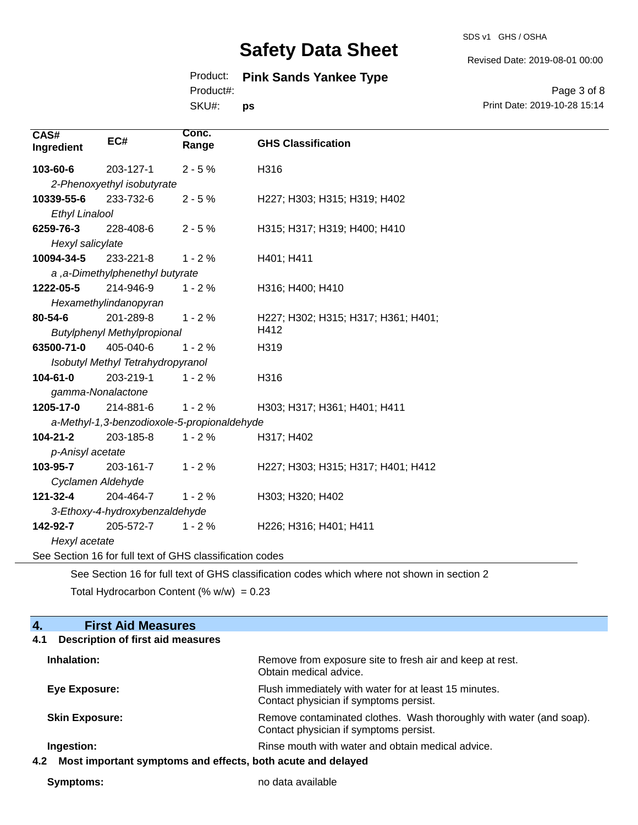SDS v1 GHS / OSHA

Revised Date: 2019-08-01 00:00

### Product: **Pink Sands Yankee Type**

Product#:

SKU#: **ps**

Page 3 of 8 Print Date: 2019-10-28 15:14

| CAS#<br>Ingredient                          | EC#                               | Conc.<br>Range                                           | <b>GHS Classification</b>                                                                   |
|---------------------------------------------|-----------------------------------|----------------------------------------------------------|---------------------------------------------------------------------------------------------|
| 103-60-6                                    | 203-127-1                         | $2 - 5%$                                                 | H316                                                                                        |
|                                             | 2-Phenoxyethyl isobutyrate        |                                                          |                                                                                             |
| 10339-55-6                                  | 233-732-6                         | $2 - 5%$                                                 | H227; H303; H315; H319; H402                                                                |
| <b>Ethyl Linalool</b>                       |                                   |                                                          |                                                                                             |
| 6259-76-3                                   | 228-408-6                         | $2 - 5%$                                                 | H315; H317; H319; H400; H410                                                                |
| Hexyl salicylate                            |                                   |                                                          |                                                                                             |
| 10094-34-5                                  | 233-221-8                         | $1 - 2%$                                                 | H401; H411                                                                                  |
|                                             | a, a-Dimethylphenethyl butyrate   |                                                          |                                                                                             |
| 1222-05-5                                   | 214-946-9                         | $1 - 2%$                                                 | H316; H400; H410                                                                            |
|                                             | Hexamethylindanopyran             |                                                          |                                                                                             |
| 80-54-6                                     | 201-289-8                         | $1 - 2%$                                                 | H227; H302; H315; H317; H361; H401;                                                         |
| H412<br><b>Butylphenyl Methylpropional</b>  |                                   |                                                          |                                                                                             |
| 63500-71-0                                  | 405-040-6                         | $1 - 2%$                                                 | H319                                                                                        |
|                                             | Isobutyl Methyl Tetrahydropyranol |                                                          |                                                                                             |
| 104-61-0                                    | 203-219-1                         | $1 - 2%$                                                 | H316                                                                                        |
| gamma-Nonalactone                           |                                   |                                                          |                                                                                             |
| 1205-17-0                                   | 214-881-6                         | $1 - 2%$                                                 | H303; H317; H361; H401; H411                                                                |
| a-Methyl-1,3-benzodioxole-5-propionaldehyde |                                   |                                                          |                                                                                             |
| 104-21-2                                    | 203-185-8                         | $1 - 2%$                                                 | H317; H402                                                                                  |
| p-Anisyl acetate                            |                                   |                                                          |                                                                                             |
| 103-95-7                                    | 203-161-7                         | $1 - 2%$                                                 | H227; H303; H315; H317; H401; H412                                                          |
| Cyclamen Aldehyde                           |                                   |                                                          |                                                                                             |
| 121-32-4                                    | 204-464-7                         | $1 - 2%$                                                 | H303; H320; H402                                                                            |
|                                             | 3-Ethoxy-4-hydroxybenzaldehyde    |                                                          |                                                                                             |
| 142-92-7                                    | 205-572-7                         | $1 - 2%$                                                 | H226; H316; H401; H411                                                                      |
| Hexyl acetate                               |                                   |                                                          |                                                                                             |
|                                             |                                   | See Section 16 for full text of GHS classification codes |                                                                                             |
|                                             |                                   |                                                          | See Section 16 for full text of GHS classification codes which where not shown in section 2 |

Total Hydrocarbon Content (%  $w/w$ ) = 0.23

| <b>First Aid Measures</b><br>4.                                    |                                                                                                               |  |
|--------------------------------------------------------------------|---------------------------------------------------------------------------------------------------------------|--|
| <b>Description of first aid measures</b><br>4.1                    |                                                                                                               |  |
| Inhalation:                                                        | Remove from exposure site to fresh air and keep at rest.<br>Obtain medical advice.                            |  |
| Eye Exposure:                                                      | Flush immediately with water for at least 15 minutes.<br>Contact physician if symptoms persist.               |  |
| <b>Skin Exposure:</b>                                              | Remove contaminated clothes. Wash thoroughly with water (and soap).<br>Contact physician if symptoms persist. |  |
| Ingestion:                                                         | Rinse mouth with water and obtain medical advice.                                                             |  |
| Most important symptoms and effects, both acute and delayed<br>4.2 |                                                                                                               |  |

**Symptoms:** no data available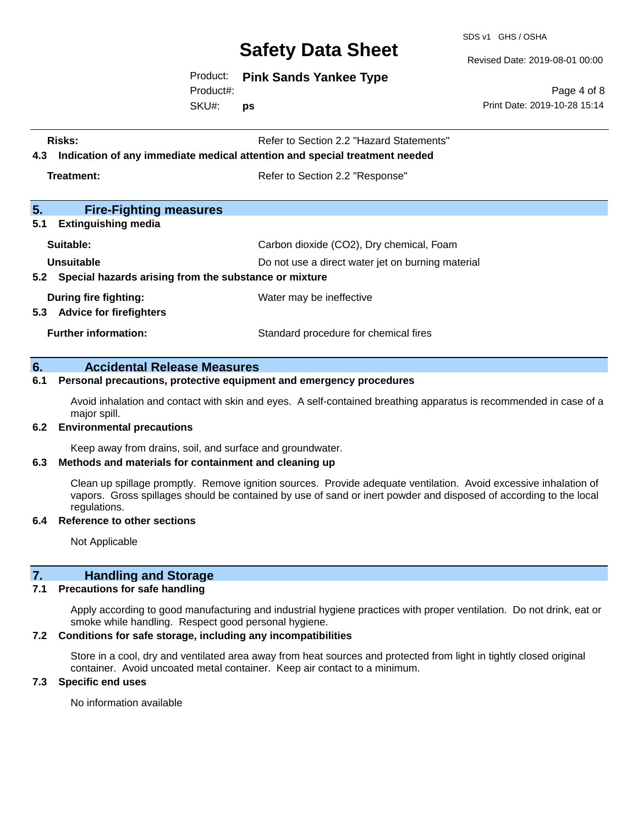SDS v1 GHS / OSHA

Revised Date: 2019-08-01 00:00

Product: **Pink Sands Yankee Type**

Product#:

SKU#: **ps**

Page 4 of 8 Print Date: 2019-10-28 15:14

| Risks:<br>Refer to Section 2.2 "Hazard Statements"<br>Indication of any immediate medical attention and special treatment needed<br>4.3 |                                          |
|-----------------------------------------------------------------------------------------------------------------------------------------|------------------------------------------|
| Treatment:                                                                                                                              | Refer to Section 2.2 "Response"          |
| 5.<br><b>Fire-Fighting measures</b>                                                                                                     |                                          |
| 5.1<br><b>Extinguishing media</b>                                                                                                       |                                          |
| Suitable:                                                                                                                               | Carbon dioxide (CO2), Dry chemical, Foam |
| Unsuitable<br>Do not use a direct water jet on burning material<br>5.2 Special hazards arising from the substance or mixture            |                                          |
| During fire fighting:<br><b>Advice for firefighters</b><br>5.3                                                                          | Water may be ineffective                 |
| <b>Further information:</b>                                                                                                             | Standard procedure for chemical fires    |

#### **6. Accidental Release Measures**

#### **6.1 Personal precautions, protective equipment and emergency procedures**

Avoid inhalation and contact with skin and eyes. A self-contained breathing apparatus is recommended in case of a major spill.

#### **6.2 Environmental precautions**

Keep away from drains, soil, and surface and groundwater.

#### **6.3 Methods and materials for containment and cleaning up**

Clean up spillage promptly. Remove ignition sources. Provide adequate ventilation. Avoid excessive inhalation of vapors. Gross spillages should be contained by use of sand or inert powder and disposed of according to the local regulations.

#### **6.4 Reference to other sections**

Not Applicable

#### **7. Handling and Storage**

#### **7.1 Precautions for safe handling**

Apply according to good manufacturing and industrial hygiene practices with proper ventilation. Do not drink, eat or smoke while handling. Respect good personal hygiene.

#### **7.2 Conditions for safe storage, including any incompatibilities**

Store in a cool, dry and ventilated area away from heat sources and protected from light in tightly closed original container. Avoid uncoated metal container. Keep air contact to a minimum.

#### **7.3 Specific end uses**

No information available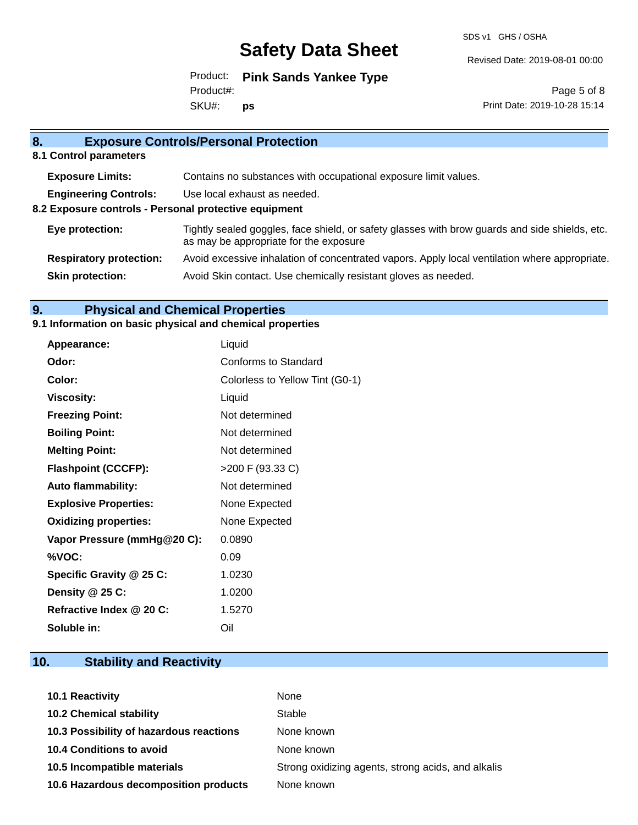SDS v1 GHS / OSHA

Revised Date: 2019-08-01 00:00

Product: **Pink Sands Yankee Type** SKU#: Product#: **ps**

Page 5 of 8 Print Date: 2019-10-28 15:14

| 8.                                                    | <b>Exposure Controls/Personal Protection</b>                                                                                             |  |  |
|-------------------------------------------------------|------------------------------------------------------------------------------------------------------------------------------------------|--|--|
| 8.1 Control parameters                                |                                                                                                                                          |  |  |
| <b>Exposure Limits:</b>                               | Contains no substances with occupational exposure limit values.                                                                          |  |  |
| <b>Engineering Controls:</b>                          | Use local exhaust as needed.                                                                                                             |  |  |
| 8.2 Exposure controls - Personal protective equipment |                                                                                                                                          |  |  |
| Eye protection:                                       | Tightly sealed goggles, face shield, or safety glasses with brow guards and side shields, etc.<br>as may be appropriate for the exposure |  |  |
| <b>Respiratory protection:</b>                        | Avoid excessive inhalation of concentrated vapors. Apply local ventilation where appropriate.                                            |  |  |
| <b>Skin protection:</b>                               | Avoid Skin contact. Use chemically resistant gloves as needed.                                                                           |  |  |
|                                                       |                                                                                                                                          |  |  |

# **9. Physical and Chemical Properties**

### **9.1 Information on basic physical and chemical properties**

| Appearance:                  | Liquid                          |
|------------------------------|---------------------------------|
| Odor:                        | Conforms to Standard            |
| Color:                       | Colorless to Yellow Tint (G0-1) |
| <b>Viscosity:</b>            | Liquid                          |
| <b>Freezing Point:</b>       | Not determined                  |
| <b>Boiling Point:</b>        | Not determined                  |
| <b>Melting Point:</b>        | Not determined                  |
| <b>Flashpoint (CCCFP):</b>   | >200 F (93.33 C)                |
| <b>Auto flammability:</b>    | Not determined                  |
| <b>Explosive Properties:</b> | None Expected                   |
| <b>Oxidizing properties:</b> | None Expected                   |
| Vapor Pressure (mmHg@20 C):  | 0.0890                          |
| %VOC:                        | 0.09                            |
| Specific Gravity @ 25 C:     | 1.0230                          |
| Density @ 25 C:              | 1.0200                          |
| Refractive Index @ 20 C:     | 1.5270                          |
| Soluble in:                  | Oil                             |

## **10. Stability and Reactivity**

| 10.1 Reactivity                         | None                                               |
|-----------------------------------------|----------------------------------------------------|
| <b>10.2 Chemical stability</b>          | Stable                                             |
| 10.3 Possibility of hazardous reactions | None known                                         |
| <b>10.4 Conditions to avoid</b>         | None known                                         |
| 10.5 Incompatible materials             | Strong oxidizing agents, strong acids, and alkalis |
| 10.6 Hazardous decomposition products   | None known                                         |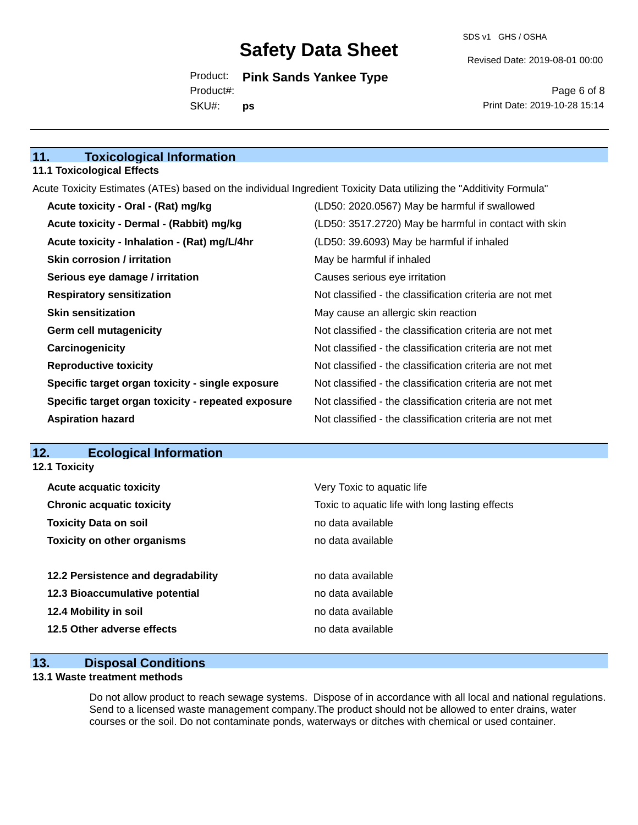Revised Date: 2019-08-01 00:00

Product: **Pink Sands Yankee Type** SKU#: Product#: **ps**

Page 6 of 8 Print Date: 2019-10-28 15:14

### **11. Toxicological Information**

#### **11.1 Toxicological Effects**

Acute Toxicity Estimates (ATEs) based on the individual Ingredient Toxicity Data utilizing the "Additivity Formula"

| Acute toxicity - Oral - (Rat) mg/kg                | (LD50: 2020.0567) May be harmful if swallowed            |
|----------------------------------------------------|----------------------------------------------------------|
| Acute toxicity - Dermal - (Rabbit) mg/kg           | (LD50: 3517.2720) May be harmful in contact with skin    |
| Acute toxicity - Inhalation - (Rat) mg/L/4hr       | (LD50: 39.6093) May be harmful if inhaled                |
| <b>Skin corrosion / irritation</b>                 | May be harmful if inhaled                                |
| Serious eye damage / irritation                    | Causes serious eye irritation                            |
| <b>Respiratory sensitization</b>                   | Not classified - the classification criteria are not met |
| <b>Skin sensitization</b>                          | May cause an allergic skin reaction                      |
| <b>Germ cell mutagenicity</b>                      | Not classified - the classification criteria are not met |
| Carcinogenicity                                    | Not classified - the classification criteria are not met |
| <b>Reproductive toxicity</b>                       | Not classified - the classification criteria are not met |
| Specific target organ toxicity - single exposure   | Not classified - the classification criteria are not met |
| Specific target organ toxicity - repeated exposure | Not classified - the classification criteria are not met |
| <b>Aspiration hazard</b>                           | Not classified - the classification criteria are not met |

#### **12. Ecological Information**

**12.1 Toxicity**

| <b>Acute acquatic toxicity</b>     | Very Toxic to aquatic life                      |
|------------------------------------|-------------------------------------------------|
| <b>Chronic acquatic toxicity</b>   | Toxic to aquatic life with long lasting effects |
| <b>Toxicity Data on soil</b>       | no data available                               |
| <b>Toxicity on other organisms</b> | no data available                               |
|                                    |                                                 |
| 12.2 Persistence and degradability | no data available                               |
| 12.3 Bioaccumulative potential     | no data available                               |
| 12.4 Mobility in soil              | no data available                               |
| 12.5 Other adverse effects         | no data available                               |
|                                    |                                                 |

### **13. Disposal Conditions**

#### **13.1 Waste treatment methods**

Do not allow product to reach sewage systems. Dispose of in accordance with all local and national regulations. Send to a licensed waste management company.The product should not be allowed to enter drains, water courses or the soil. Do not contaminate ponds, waterways or ditches with chemical or used container.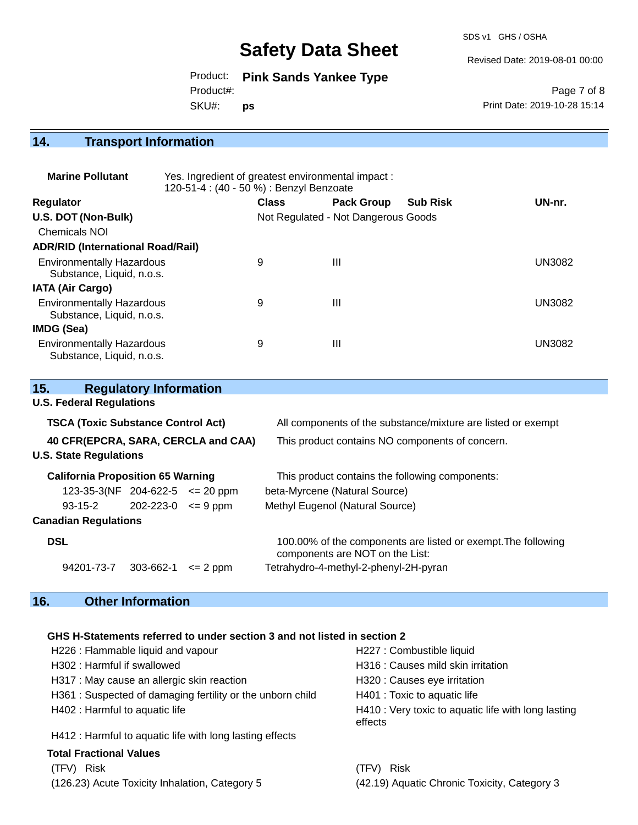SDS v1 GHS / OSHA

Revised Date: 2019-08-01 00:00

Product: **Pink Sands Yankee Type** SKU#: Product#: **ps**

Page 7 of 8 Print Date: 2019-10-28 15:14

### **14. Transport Information**

| <b>Marine Pollutant</b>                                       | Yes. Ingredient of greatest environmental impact:<br>120-51-4 : (40 - 50 %) : Benzyl Benzoate |              |                                     |                 |               |
|---------------------------------------------------------------|-----------------------------------------------------------------------------------------------|--------------|-------------------------------------|-----------------|---------------|
| <b>Regulator</b>                                              |                                                                                               | <b>Class</b> | <b>Pack Group</b>                   | <b>Sub Risk</b> | UN-nr.        |
| U.S. DOT (Non-Bulk)                                           |                                                                                               |              | Not Regulated - Not Dangerous Goods |                 |               |
| Chemicals NOI                                                 |                                                                                               |              |                                     |                 |               |
| <b>ADR/RID (International Road/Rail)</b>                      |                                                                                               |              |                                     |                 |               |
| <b>Environmentally Hazardous</b><br>Substance, Liquid, n.o.s. |                                                                                               | 9            | $\mathbf{III}$                      |                 | UN3082        |
| <b>IATA (Air Cargo)</b>                                       |                                                                                               |              |                                     |                 |               |
| <b>Environmentally Hazardous</b><br>Substance, Liquid, n.o.s. |                                                                                               | 9            | $\mathbf{III}$                      |                 | UN3082        |
| IMDG (Sea)                                                    |                                                                                               |              |                                     |                 |               |
| <b>Environmentally Hazardous</b><br>Substance, Liquid, n.o.s. |                                                                                               | 9            | $\mathbf{III}$                      |                 | <b>UN3082</b> |

| 15.                                       | <b>Regulatory Information</b> |              |                                                                                                  |  |  |
|-------------------------------------------|-------------------------------|--------------|--------------------------------------------------------------------------------------------------|--|--|
| <b>U.S. Federal Regulations</b>           |                               |              |                                                                                                  |  |  |
| <b>TSCA (Toxic Substance Control Act)</b> |                               |              | All components of the substance/mixture are listed or exempt                                     |  |  |
| 40 CFR(EPCRA, SARA, CERCLA and CAA)       |                               |              | This product contains NO components of concern.                                                  |  |  |
| <b>U.S. State Regulations</b>             |                               |              |                                                                                                  |  |  |
| <b>California Proposition 65 Warning</b>  |                               |              | This product contains the following components:                                                  |  |  |
| $123-35-3(NF)$ 204-622-5 $\leq$ 20 ppm    |                               |              | beta-Myrcene (Natural Source)                                                                    |  |  |
| 93-15-2                                   | $202 - 223 - 0 \leq 9$ ppm    |              | Methyl Eugenol (Natural Source)                                                                  |  |  |
| <b>Canadian Regulations</b>               |                               |              |                                                                                                  |  |  |
| <b>DSL</b>                                |                               |              | 100.00% of the components are listed or exempt. The following<br>components are NOT on the List: |  |  |
| 94201-73-7                                | 303-662-1                     | $\leq$ 2 ppm | Tetrahydro-4-methyl-2-phenyl-2H-pyran                                                            |  |  |

# **16. Other Information**

#### **GHS H-Statements referred to under section 3 and not listed in section 2**

| H226 : Flammable liquid and vapour                        | H227 : Combustible liquid                                      |
|-----------------------------------------------------------|----------------------------------------------------------------|
| H302: Harmful if swallowed                                | H316 : Causes mild skin irritation                             |
| H317 : May cause an allergic skin reaction                | H320 : Causes eye irritation                                   |
| H361: Suspected of damaging fertility or the unborn child | H401 : Toxic to aquatic life                                   |
| H402 : Harmful to aquatic life                            | H410 : Very toxic to aquatic life with long lasting<br>effects |
| H412 : Harmful to aquatic life with long lasting effects  |                                                                |
| <b>Total Fractional Values</b>                            |                                                                |
| $(TEN)$ Diak                                              | $(TEN \cap Disk)$                                              |

(TFV) Risk (TFV) Risk (126.23) Acute Toxicity Inhalation, Category 5 (42.19) Aquatic Chronic Toxicity, Category 3